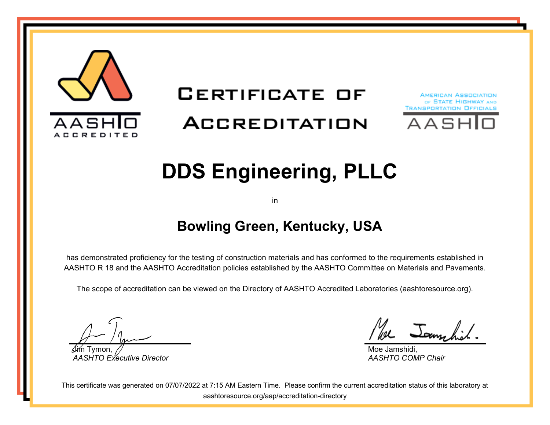

# **CERTIFICATE OF**

## **ACCREDITATION**





# **DDS Engineering, PLLC**

in

#### **Bowling Green, Kentucky, USA**

has demonstrated proficiency for the testing of construction materials and has conformed to the requirements established in AASHTO R 18 and the AASHTO Accreditation policies established by the AASHTO Committee on Materials and Pavements.

The scope of accreditation can be viewed on the Directory of AASHTO Accredited Laboratories (aashtoresource.org).

Jim Tymon, *AASHTO Executive Director*

We Jamschich

Moe Jamshidi, *AASHTO COMP Chair*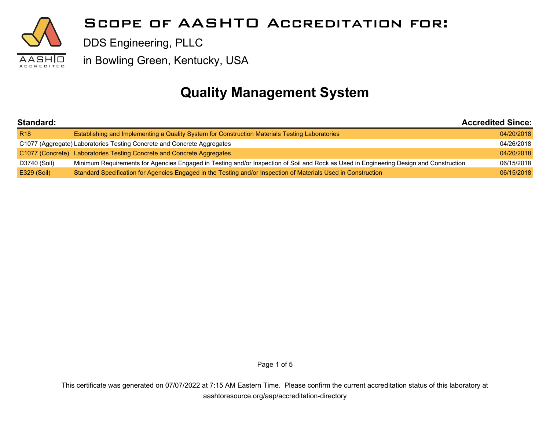

#### **Quality Management System**

| Standard:       |                                                                                                                                        | <b>Accredited Since:</b> |  |
|-----------------|----------------------------------------------------------------------------------------------------------------------------------------|--------------------------|--|
| R <sub>18</sub> | Establishing and Implementing a Quality System for Construction Materials Testing Laboratories                                         | 04/20/2018               |  |
|                 | C1077 (Aggregate) Laboratories Testing Concrete and Concrete Aggregates                                                                | 04/26/2018               |  |
|                 | C1077 (Concrete) Laboratories Testing Concrete and Concrete Aggregates                                                                 | 04/20/2018               |  |
| D3740 (Soil)    | Minimum Requirements for Agencies Engaged in Testing and/or Inspection of Soil and Rock as Used in Engineering Design and Construction | 06/15/2018               |  |
| E329 (Soil)     | Standard Specification for Agencies Engaged in the Testing and/or Inspection of Materials Used in Construction                         | 06/15/2018               |  |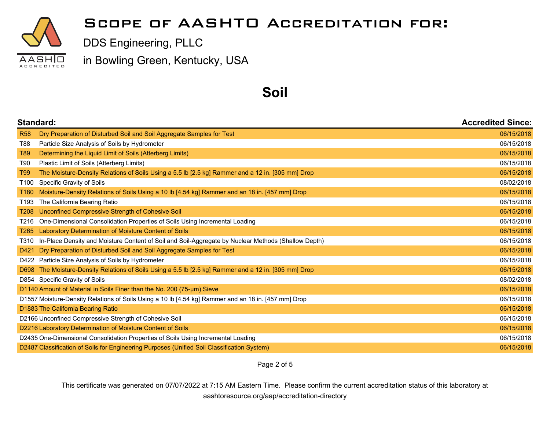

#### **Scope of AASHTO Accreditation for:**

DDS Engineering, PLLC

in Bowling Green, Kentucky, USA

#### **Soil**

|                  | Standard:                                                                                            |            |
|------------------|------------------------------------------------------------------------------------------------------|------------|
| <b>R58</b>       | Dry Preparation of Disturbed Soil and Soil Aggregate Samples for Test                                | 06/15/2018 |
| T88              | Particle Size Analysis of Soils by Hydrometer                                                        | 06/15/2018 |
| T89              | Determining the Liquid Limit of Soils (Atterberg Limits)                                             | 06/15/2018 |
| T90              | Plastic Limit of Soils (Atterberg Limits)                                                            | 06/15/2018 |
| T99              | The Moisture-Density Relations of Soils Using a 5.5 lb [2.5 kg] Rammer and a 12 in. [305 mm] Drop    | 06/15/2018 |
| T100             | Specific Gravity of Soils                                                                            | 08/02/2018 |
| T <sub>180</sub> | Moisture-Density Relations of Soils Using a 10 lb [4.54 kg] Rammer and an 18 in. [457 mm] Drop       | 06/15/2018 |
| T193             | The California Bearing Ratio                                                                         | 06/15/2018 |
| T <sub>208</sub> | Unconfined Compressive Strength of Cohesive Soil                                                     | 06/15/2018 |
|                  | T216 One-Dimensional Consolidation Properties of Soils Using Incremental Loading                     | 06/15/2018 |
| T <sub>265</sub> | Laboratory Determination of Moisture Content of Soils                                                | 06/15/2018 |
| T310             | In-Place Density and Moisture Content of Soil and Soil-Aggregate by Nuclear Methods (Shallow Depth)  | 06/15/2018 |
| D421             | Dry Preparation of Disturbed Soil and Soil Aggregate Samples for Test                                | 06/15/2018 |
|                  | D422 Particle Size Analysis of Soils by Hydrometer                                                   | 06/15/2018 |
| D698             | The Moisture-Density Relations of Soils Using a 5.5 lb [2.5 kg] Rammer and a 12 in. [305 mm] Drop    | 06/15/2018 |
|                  | D854 Specific Gravity of Soils                                                                       | 08/02/2018 |
|                  | D1140 Amount of Material in Soils Finer than the No. 200 (75-µm) Sieve                               | 06/15/2018 |
|                  | D1557 Moisture-Density Relations of Soils Using a 10 lb [4.54 kg] Rammer and an 18 in. [457 mm] Drop | 06/15/2018 |
|                  | D1883 The California Bearing Ratio                                                                   | 06/15/2018 |
|                  | D2166 Unconfined Compressive Strength of Cohesive Soil                                               | 06/15/2018 |
|                  | D2216 Laboratory Determination of Moisture Content of Soils                                          | 06/15/2018 |
|                  | D2435 One-Dimensional Consolidation Properties of Soils Using Incremental Loading                    | 06/15/2018 |
|                  | D2487 Classification of Soils for Engineering Purposes (Unified Soil Classification System)          | 06/15/2018 |

Page 2 of 5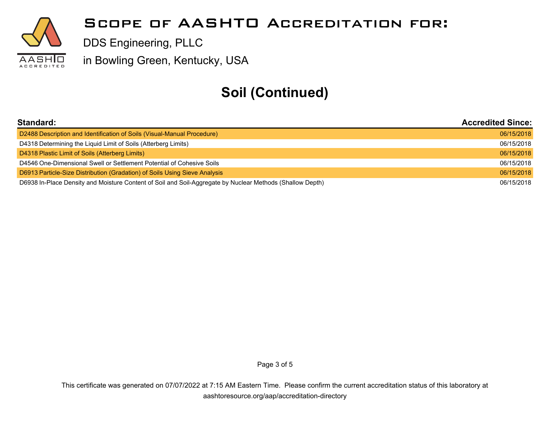

### **Soil (Continued)**

| Standard:                                                                                                 | <b>Accredited Since:</b> |
|-----------------------------------------------------------------------------------------------------------|--------------------------|
| D2488 Description and Identification of Soils (Visual-Manual Procedure)                                   | 06/15/2018               |
| D4318 Determining the Liquid Limit of Soils (Atterberg Limits)                                            | 06/15/2018               |
| D4318 Plastic Limit of Soils (Atterberg Limits)                                                           | 06/15/2018               |
| D4546 One-Dimensional Swell or Settlement Potential of Cohesive Soils                                     | 06/15/2018               |
| D6913 Particle-Size Distribution (Gradation) of Soils Using Sieve Analysis                                | 06/15/2018               |
| D6938 In-Place Density and Moisture Content of Soil and Soil-Aggregate by Nuclear Methods (Shallow Depth) | 06/15/2018               |

Page 3 of 5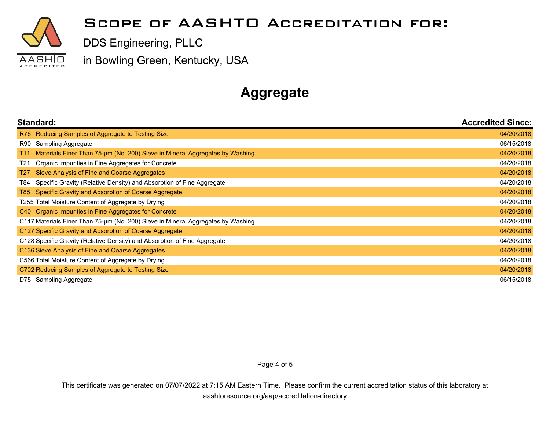

#### **Scope of AASHTO Accreditation for:**

DDS Engineering, PLLC

in Bowling Green, Kentucky, USA

### **Aggregate**

| Standard:                                                                          | <b>Accredited Since:</b> |
|------------------------------------------------------------------------------------|--------------------------|
| R76 Reducing Samples of Aggregate to Testing Size                                  | 04/20/2018               |
| Sampling Aggregate<br>R90                                                          | 06/15/2018               |
| Materials Finer Than 75-um (No. 200) Sieve in Mineral Aggregates by Washing<br>T11 | 04/20/2018               |
| Organic Impurities in Fine Aggregates for Concrete<br>T21                          | 04/20/2018               |
| T <sub>27</sub><br>Sieve Analysis of Fine and Coarse Aggregates                    | 04/20/2018               |
| Specific Gravity (Relative Density) and Absorption of Fine Aggregate<br>T84        | 04/20/2018               |
| Specific Gravity and Absorption of Coarse Aggregate<br>T85 I                       | 04/20/2018               |
| T255 Total Moisture Content of Aggregate by Drying                                 | 04/20/2018               |
| C40 Organic Impurities in Fine Aggregates for Concrete                             | 04/20/2018               |
| C117 Materials Finer Than 75-µm (No. 200) Sieve in Mineral Aggregates by Washing   | 04/20/2018               |
| C127 Specific Gravity and Absorption of Coarse Aggregate                           | 04/20/2018               |
| C128 Specific Gravity (Relative Density) and Absorption of Fine Aggregate          |                          |
| C136 Sieve Analysis of Fine and Coarse Aggregates                                  | 04/20/2018               |
| C566 Total Moisture Content of Aggregate by Drying                                 |                          |
| C702 Reducing Samples of Aggregate to Testing Size                                 |                          |
| Sampling Aggregate<br>D75                                                          | 06/15/2018               |